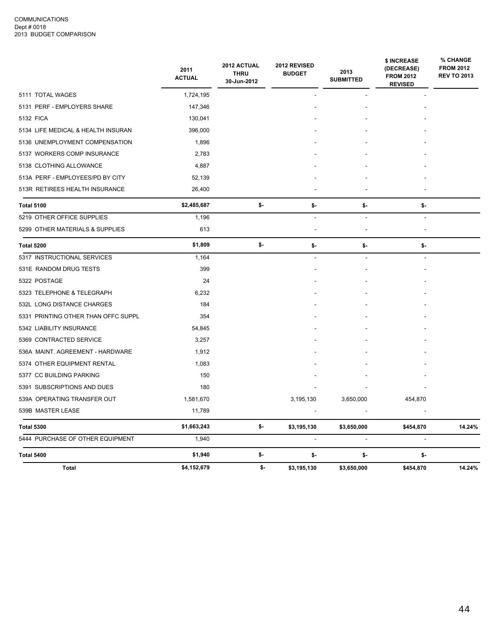|                                     | 2011<br><b>ACTUAL</b> | 2012 ACTUAL<br><b>THRU</b><br>30-Jun-2012 | 2012 REVISED<br><b>BUDGET</b> | 2013<br><b>SUBMITTED</b> | \$ INCREASE<br>(DECREASE)<br><b>FROM 2012</b><br><b>REVISED</b> | % CHANGE<br><b>FROM 2012</b><br><b>REV TO 2013</b> |
|-------------------------------------|-----------------------|-------------------------------------------|-------------------------------|--------------------------|-----------------------------------------------------------------|----------------------------------------------------|
| 5111 TOTAL WAGES                    | 1,724,195             |                                           |                               |                          |                                                                 |                                                    |
| 5131 PERF - EMPLOYERS SHARE         | 147,346               |                                           |                               |                          |                                                                 |                                                    |
| 5132 FICA                           | 130,041               |                                           |                               |                          |                                                                 |                                                    |
| 5134 LIFE MEDICAL & HEALTH INSURAN  | 396,000               |                                           |                               |                          |                                                                 |                                                    |
| 5136 UNEMPLOYMENT COMPENSATION      | 1,896                 |                                           |                               |                          |                                                                 |                                                    |
| 5137 WORKERS COMP INSURANCE         | 2,783                 |                                           |                               |                          |                                                                 |                                                    |
| 5138 CLOTHING ALLOWANCE             | 4,887                 |                                           |                               |                          |                                                                 |                                                    |
| 513A PERF - EMPLOYEES/PD BY CITY    | 52,139                |                                           |                               |                          |                                                                 |                                                    |
| 513R RETIREES HEALTH INSURANCE      | 26,400                |                                           |                               |                          |                                                                 |                                                    |
| <b>Total 5100</b>                   | \$2,485,687           | \$-                                       | \$-                           | \$-                      | \$-                                                             |                                                    |
| 5219 OTHER OFFICE SUPPLIES          | 1,196                 |                                           |                               | $\sim$                   | $\overline{\phantom{a}}$                                        |                                                    |
| 5299 OTHER MATERIALS & SUPPLIES     | 613                   |                                           |                               |                          |                                                                 |                                                    |
| Total 5200                          | \$1,809               | \$-                                       | \$-                           | \$-                      | \$-                                                             |                                                    |
| 5317 INSTRUCTIONAL SERVICES         | 1,164                 |                                           |                               |                          |                                                                 |                                                    |
| 531E RANDOM DRUG TESTS              | 399                   |                                           |                               |                          |                                                                 |                                                    |
| 5322 POSTAGE                        | 24                    |                                           |                               |                          |                                                                 |                                                    |
| 5323 TELEPHONE & TELEGRAPH          | 6,232                 |                                           |                               |                          |                                                                 |                                                    |
| 532L LONG DISTANCE CHARGES          | 184                   |                                           |                               |                          |                                                                 |                                                    |
| 5331 PRINTING OTHER THAN OFFC SUPPL | 354                   |                                           |                               |                          |                                                                 |                                                    |
| 5342 LIABILITY INSURANCE            | 54,845                |                                           |                               |                          |                                                                 |                                                    |
| 5369 CONTRACTED SERVICE             | 3,257                 |                                           |                               |                          |                                                                 |                                                    |
| 536A MAINT. AGREEMENT - HARDWARE    | 1,912                 |                                           |                               |                          |                                                                 |                                                    |
| 5374 OTHER EQUIPMENT RENTAL         | 1,083                 |                                           |                               |                          |                                                                 |                                                    |
| 5377 CC BUILDING PARKING            | 150                   |                                           |                               |                          |                                                                 |                                                    |
| 5391 SUBSCRIPTIONS AND DUES         | 180                   |                                           |                               |                          |                                                                 |                                                    |
| 539A OPERATING TRANSFER OUT         | 1,581,670             |                                           | 3,195,130                     | 3,650,000                | 454,870                                                         |                                                    |
| 539B MASTER LEASE                   | 11,789                |                                           |                               |                          |                                                                 |                                                    |
| <b>Total 5300</b>                   | \$1,663,243           | \$-                                       | \$3,195,130                   | \$3,650,000              | \$454,870                                                       | 14.24%                                             |
| 5444 PURCHASE OF OTHER EQUIPMENT    | 1,940                 |                                           |                               | ٠                        |                                                                 |                                                    |
| Total 5400                          | \$1,940               | \$-                                       | \$-                           | \$-                      | \$-                                                             |                                                    |
| <b>Total</b>                        | \$4,152,679           | \$-                                       | \$3,195,130                   | \$3,650,000              | \$454,870                                                       | 14.24%                                             |